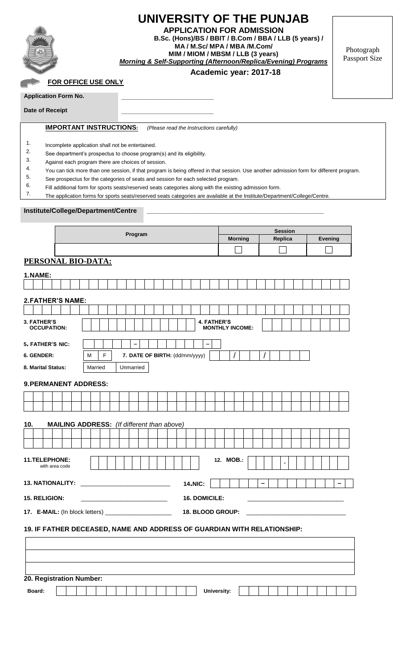

# **UNIVERSITY OF THE PUNJAB**

**APPLICATION FOR ADMISSION B.Sc. (Hons)/BS / BBIT / B.Com / BBA / LLB (5 years) / MA / M.Sc/ MPA / MBA /M.Com/ MIM / MIOM / MBSM / LLB (3 years)** *Morning & Self-Supporting (Afternoon/Replica/Evening) Programs*

**Academic year: 2017-18**

Photograph Passport Size

## **FOR OFFICE USE ONLY**

**Application Form No.** 

**Date of Receipt \_\_\_\_\_\_\_\_\_\_\_\_\_\_\_\_\_\_\_\_\_\_\_\_\_**

**IMPORTANT INSTRUCTIONS:** *(Please read the Instructions carefully)*

- 1. Incomplete application shall not be entertained.<br>2. See denartment's prospectus to choose program
- 2. See department's prospectus to choose program(s) and its eligibility.<br>3. Against each program there are choices of session
- $\frac{3}{4}$ . Against each program there are choices of session.
- 4. You can tick more than one session, if that program is being offered in that session. Use another admission form for different program.<br>5. See prospectus for the categories of seats and session for each selected program
- 5. See prospectus for the categories of seats and session for each selected program.<br>6.  $\epsilon_{\text{full}}$  additional form for enote coate/recorred seats extensive along with the existing
- $\frac{6.}{7}$  Fill additional form for sports seats/reserved seats categories along with the existing admission form.<br>7. The application forms for sports seats/reserved seats categories are available at the Institute/Departr
- The application forms for sports seats/reserved seats categories are available at the Institute/Department/College/Centre

#### **Institute/College/Department/Centre \_\_\_\_\_\_\_\_\_\_\_\_\_\_\_\_\_\_\_\_\_\_\_\_\_\_\_\_\_\_\_\_\_\_\_\_\_\_\_\_\_\_\_\_\_\_\_\_**

|                                                                         |  | Program |  |   |         |   |  |                                                   |                | <b>Session</b>                 |  |  |                  |   |                        |  |  |                |  |   |  |                |  |  |  |  |  |  |  |
|-------------------------------------------------------------------------|--|---------|--|---|---------|---|--|---------------------------------------------------|----------------|--------------------------------|--|--|------------------|---|------------------------|--|--|----------------|--|---|--|----------------|--|--|--|--|--|--|--|
|                                                                         |  |         |  |   |         |   |  |                                                   | <b>Morning</b> |                                |  |  | Replica          |   |                        |  |  | <b>Evening</b> |  |   |  |                |  |  |  |  |  |  |  |
|                                                                         |  |         |  |   |         |   |  |                                                   |                |                                |  |  |                  |   |                        |  |  |                |  |   |  |                |  |  |  |  |  |  |  |
| PERSONAL BIO-DATA:                                                      |  |         |  |   |         |   |  |                                                   |                |                                |  |  |                  |   |                        |  |  |                |  |   |  |                |  |  |  |  |  |  |  |
| 1.NAME:                                                                 |  |         |  |   |         |   |  |                                                   |                |                                |  |  |                  |   |                        |  |  |                |  |   |  |                |  |  |  |  |  |  |  |
|                                                                         |  |         |  |   |         |   |  |                                                   |                |                                |  |  |                  |   |                        |  |  |                |  |   |  |                |  |  |  |  |  |  |  |
| <b>2. FATHER'S NAME:</b>                                                |  |         |  |   |         |   |  |                                                   |                |                                |  |  |                  |   |                        |  |  |                |  |   |  |                |  |  |  |  |  |  |  |
|                                                                         |  |         |  |   |         |   |  |                                                   |                |                                |  |  |                  |   |                        |  |  |                |  |   |  |                |  |  |  |  |  |  |  |
| <b>3. FATHER'S</b>                                                      |  |         |  |   |         |   |  |                                                   |                |                                |  |  |                  |   | <b>4. FATHER'S</b>     |  |  |                |  |   |  |                |  |  |  |  |  |  |  |
| <b>OCCUPATION:</b>                                                      |  |         |  |   |         |   |  |                                                   |                |                                |  |  |                  |   | <b>MONTHLY INCOME:</b> |  |  |                |  |   |  |                |  |  |  |  |  |  |  |
| 5. FATHER'S NIC:                                                        |  |         |  |   |         |   |  |                                                   |                |                                |  |  |                  | - |                        |  |  |                |  |   |  |                |  |  |  |  |  |  |  |
| 6. GENDER:                                                              |  |         |  | М |         | F |  |                                                   |                | 7. DATE OF BIRTH: (dd/mm/yyyy) |  |  |                  |   |                        |  |  |                |  | 1 |  |                |  |  |  |  |  |  |  |
| 8. Marital Status:                                                      |  |         |  |   | Married |   |  |                                                   | Unmarried      |                                |  |  |                  |   |                        |  |  |                |  |   |  |                |  |  |  |  |  |  |  |
|                                                                         |  |         |  |   |         |   |  |                                                   |                |                                |  |  |                  |   |                        |  |  |                |  |   |  |                |  |  |  |  |  |  |  |
| <b>9. PERMANENT ADDRESS:</b>                                            |  |         |  |   |         |   |  |                                                   |                |                                |  |  |                  |   |                        |  |  |                |  |   |  |                |  |  |  |  |  |  |  |
|                                                                         |  |         |  |   |         |   |  |                                                   |                |                                |  |  |                  |   |                        |  |  |                |  |   |  |                |  |  |  |  |  |  |  |
|                                                                         |  |         |  |   |         |   |  |                                                   |                |                                |  |  |                  |   |                        |  |  |                |  |   |  |                |  |  |  |  |  |  |  |
| 10.                                                                     |  |         |  |   |         |   |  | <b>MAILING ADDRESS:</b> (If different than above) |                |                                |  |  |                  |   |                        |  |  |                |  |   |  |                |  |  |  |  |  |  |  |
|                                                                         |  |         |  |   |         |   |  |                                                   |                |                                |  |  |                  |   |                        |  |  |                |  |   |  |                |  |  |  |  |  |  |  |
|                                                                         |  |         |  |   |         |   |  |                                                   |                |                                |  |  |                  |   |                        |  |  |                |  |   |  |                |  |  |  |  |  |  |  |
| 11.TELEPHONE:                                                           |  |         |  |   |         |   |  |                                                   |                |                                |  |  |                  |   | 12. MOB.:              |  |  |                |  |   |  |                |  |  |  |  |  |  |  |
| with area code                                                          |  |         |  |   |         |   |  |                                                   |                |                                |  |  |                  |   |                        |  |  |                |  |   |  | $\blacksquare$ |  |  |  |  |  |  |  |
| <b>13. NATIONALITY:</b>                                                 |  |         |  |   |         |   |  |                                                   |                |                                |  |  |                  |   |                        |  |  |                |  |   |  |                |  |  |  |  |  |  |  |
|                                                                         |  |         |  |   |         |   |  |                                                   |                |                                |  |  | 14.NIC:          |   |                        |  |  |                |  |   |  |                |  |  |  |  |  |  |  |
| 15. RELIGION:                                                           |  |         |  |   |         |   |  |                                                   |                |                                |  |  | 16. DOMICILE:    |   |                        |  |  |                |  |   |  |                |  |  |  |  |  |  |  |
| <b>17.</b> E-MAIL: (In block letters) ________________________          |  |         |  |   |         |   |  |                                                   |                |                                |  |  | 18. BLOOD GROUP: |   |                        |  |  |                |  |   |  |                |  |  |  |  |  |  |  |
| 19. IF FATHER DECEASED, NAME AND ADDRESS OF GUARDIAN WITH RELATIONSHIP: |  |         |  |   |         |   |  |                                                   |                |                                |  |  |                  |   |                        |  |  |                |  |   |  |                |  |  |  |  |  |  |  |
|                                                                         |  |         |  |   |         |   |  |                                                   |                |                                |  |  |                  |   |                        |  |  |                |  |   |  |                |  |  |  |  |  |  |  |
|                                                                         |  |         |  |   |         |   |  |                                                   |                |                                |  |  |                  |   |                        |  |  |                |  |   |  |                |  |  |  |  |  |  |  |
|                                                                         |  |         |  |   |         |   |  |                                                   |                |                                |  |  |                  |   |                        |  |  |                |  |   |  |                |  |  |  |  |  |  |  |
|                                                                         |  |         |  |   |         |   |  |                                                   |                |                                |  |  |                  |   |                        |  |  |                |  |   |  |                |  |  |  |  |  |  |  |
| 20. Registration Number:                                                |  |         |  |   |         |   |  |                                                   |                |                                |  |  |                  |   |                        |  |  |                |  |   |  |                |  |  |  |  |  |  |  |
| Board:                                                                  |  |         |  |   |         |   |  |                                                   |                |                                |  |  |                  |   | <b>University:</b>     |  |  |                |  |   |  |                |  |  |  |  |  |  |  |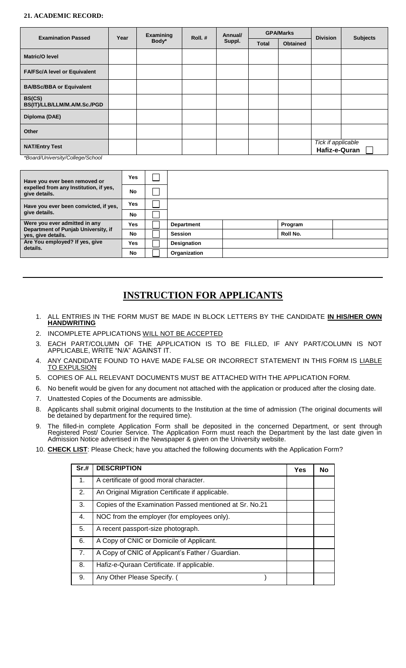#### **21. ACADEMIC RECORD:**

| <b>Examination Passed</b>              | Year | Examining | Roll.# | Annual/ |              | <b>GPA/Marks</b> | <b>Division</b>                     | <b>Subjects</b> |
|----------------------------------------|------|-----------|--------|---------|--------------|------------------|-------------------------------------|-----------------|
|                                        |      | Body*     |        | Suppl.  | <b>Total</b> | <b>Obtained</b>  |                                     |                 |
| <b>Matric/O level</b>                  |      |           |        |         |              |                  |                                     |                 |
| <b>FA/FSc/A level or Equivalent</b>    |      |           |        |         |              |                  |                                     |                 |
| <b>BA/BSc/BBA or Equivalent</b>        |      |           |        |         |              |                  |                                     |                 |
| BS(CS)<br>BS(IT)/LLB/LLM/M.A/M.Sc./PGD |      |           |        |         |              |                  |                                     |                 |
| Diploma (DAE)                          |      |           |        |         |              |                  |                                     |                 |
| Other                                  |      |           |        |         |              |                  |                                     |                 |
| <b>NAT/Entry Test</b>                  |      |           |        |         |              |                  | Tick if applicable<br>Hafiz-e-Quran |                 |

*\*Board/University/College/School*

| Have you ever been removed or                             | <b>Yes</b> |                   |          |  |
|-----------------------------------------------------------|------------|-------------------|----------|--|
| expelled from any Institution, if yes,<br>give details.   | No         |                   |          |  |
| Have you ever been convicted, if yes,                     | <b>Yes</b> |                   |          |  |
| give details.                                             | No         |                   |          |  |
| Were you ever admitted in any                             | <b>Yes</b> | <b>Department</b> | Program  |  |
| Department of Punjab University, if<br>yes, give details. | No         | <b>Session</b>    | Roll No. |  |
| Are You employed? If yes, give                            | Yes        | Designation       |          |  |
| details.                                                  | <b>No</b>  | Organization      |          |  |

### **INSTRUCTION FOR APPLICANTS**

- 1. ALL ENTRIES IN THE FORM MUST BE MADE IN BLOCK LETTERS BY THE CANDIDATE **IN HIS/HER OWN HANDWRITING**
- 2. INCOMPLETE APPLICATIONS WILL NOT BE ACCEPTED
- 3. EACH PART/COLUMN OF THE APPLICATION IS TO BE FILLED, IF ANY PART/COLUMN IS NOT APPLICABLE, WRITE "N/A" AGAINST IT.
- 4. ANY CANDIDATE FOUND TO HAVE MADE FALSE OR INCORRECT STATEMENT IN THIS FORM IS LIABLE TO EXPULSION
- 5. COPIES OF ALL RELEVANT DOCUMENTS MUST BE ATTACHED WITH THE APPLICATION FORM.
- 6. No benefit would be given for any document not attached with the application or produced after the closing date.
- 7. Unattested Copies of the Documents are admissible.
- 8. Applicants shall submit original documents to the Institution at the time of admission (The original documents will be detained by department for the required time).
- 9. The filled-in complete Application Form shall be deposited in the concerned Department, or sent through Registered Post/ Courier Service. The Application Form must reach the Department by the last date given in Admission Notice advertised in the Newspaper & given on the University website.
- 10. **CHECK LIST**: Please Check; have you attached the following documents with the Application Form?

| Sr.# | <b>DESCRIPTION</b>                                      | Yes | <b>No</b> |
|------|---------------------------------------------------------|-----|-----------|
| 1.   | A certificate of good moral character.                  |     |           |
| 2.   | An Original Migration Certificate if applicable.        |     |           |
| 3.   | Copies of the Examination Passed mentioned at Sr. No.21 |     |           |
| 4.   | NOC from the employer (for employees only).             |     |           |
| 5.   | A recent passport-size photograph.                      |     |           |
| 6.   | A Copy of CNIC or Domicile of Applicant.                |     |           |
| 7.   | A Copy of CNIC of Applicant's Father / Guardian.        |     |           |
| 8.   | Hafiz-e-Quraan Certificate. If applicable.              |     |           |
| 9.   | Any Other Please Specify. (                             |     |           |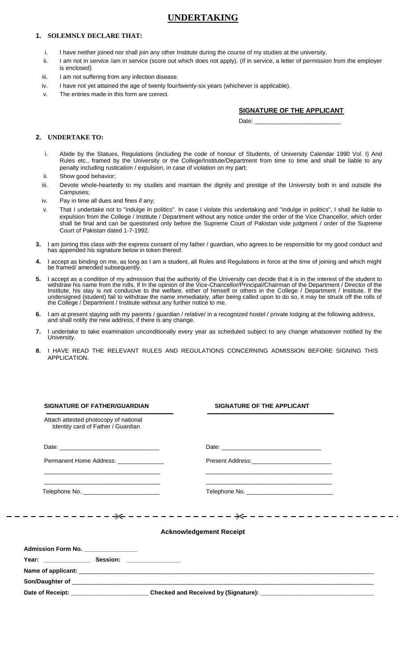### **UNDERTAKING**

#### **1. SOLEMNLY DECLARE THAT:**

- i. I have neither joined nor shall join any other Institute during the course of my studies at the university.
- ii. I am not in service /am in service (score out which does not apply). (If in service, a letter of permission from the employer is enclosed)
- iii. I am not suffering from any infection disease.
- iv. I have not yet attained the age of twenty four/twenty-six years (whichever is applicable).
- v. The entries made in this form are correct.

#### **SIGNATURE OF THE APPLICANT**

Date:

#### **2. UNDERTAKE TO:**

- i. Abide by the Statues, Regulations (including the code of honour of Students, of University Calendar 1990 Vol. I) And Rules etc., framed by the University or the College/Institute/Department from time to time and shall be liable to any penalty including rustication / expulsion, in case of violation on my part;
- ii. Show good behavior;
- iii. Devote whole-heartedly to my studies and maintain the dignity and prestige of the University both in and outside the Campuses;
- iv. Pay in time all dues and fines if any;
- v. That I undertake not to "indulge In politics". In case I violate this undertaking and "indulge in politics", I shall be liable to expulsion from the College / Institute / Department without any notice under the order of the Vice Chancellor, which order shall be final and can be questioned only before the Supreme Court of Pakistan vide judgment / order of the Supreme Court of Pakistan dated 1-7-1992.
- **3.** I am joining this class with the express consent of my father / guardian, who agrees to be responsible for my good conduct and has appended his signature below in token thereof.
- **4.** I accept as binding on me, as long as I am a student, all Rules and Regulations in force at the time of joining and which might be framed/ amended subsequently.
- **5.** I accept as a condition of my admission that the authority of the University can decide that it is in the interest of the student to withdraw his name from the rolls, If In the opinion of the Vice-Chancellor/Principal/Chairman of the Department / Director of the Institute, his stay is not conducive to the welfare, either of himself or others in the College / Department / Institute. If the undersigned (student) fail to withdraw the name immediately, after being called upon to do so, it may be struck off the rolls of the College / Department / Institute without any further notice to me.
- **6.** I am at present staying with my parents / guardian / relative/ in a recognized hostel / private lodging at the following address, and shall notify the new address, if there is any change.
- **7.** I undertake to take examination unconditionally every year as scheduled subject to any change whatsoever notified by the **University**
- **8.** I HAVE READ THE RELEVANT RULES AND REGULATIONS CONCERNING ADMISSION BEFORE SIGNING THIS APPLICATION.

| <b>SIGNATURE OF FATHER/GUARDIAN</b>                                                                                                                                                                                                                                              | SIGNATURE OF THE APPLICANT                                                                                           |
|----------------------------------------------------------------------------------------------------------------------------------------------------------------------------------------------------------------------------------------------------------------------------------|----------------------------------------------------------------------------------------------------------------------|
| Attach attested photocopy of national<br>Identity card of Father / Guardian                                                                                                                                                                                                      |                                                                                                                      |
|                                                                                                                                                                                                                                                                                  |                                                                                                                      |
| Permanent Home Address: ________________<br><u> 1980 - Johann Johann Harry Harry Harry Harry Harry Harry Harry Harry Harry Harry Harry Harry Harry Harry Harry Harry Harry Harry Harry Harry Harry Harry Harry Harry Harry Harry Harry Harry Harry Harry Harry Harry Harry H</u> | Present Address:______________________________                                                                       |
| <u> 1989 - Johann Stein, marwolaethau a bhann an chomhair an chomhair an chomhair an chomhair an chomhair an chom</u><br>Telephone No. ____________________________                                                                                                              | <u> 1980 - Andrea Santa Andrea Andrea Andrea Andrea Andrea Andrea Andrea Andrea Andrea Andrea Andrea Andrea Andr</u> |
|                                                                                                                                                                                                                                                                                  |                                                                                                                      |
|                                                                                                                                                                                                                                                                                  | <b>Acknowledgement Receipt</b>                                                                                       |
|                                                                                                                                                                                                                                                                                  |                                                                                                                      |
| Admission Form No. _______________<br>Year: _____________________ Session: __________________                                                                                                                                                                                    |                                                                                                                      |
|                                                                                                                                                                                                                                                                                  |                                                                                                                      |
|                                                                                                                                                                                                                                                                                  |                                                                                                                      |